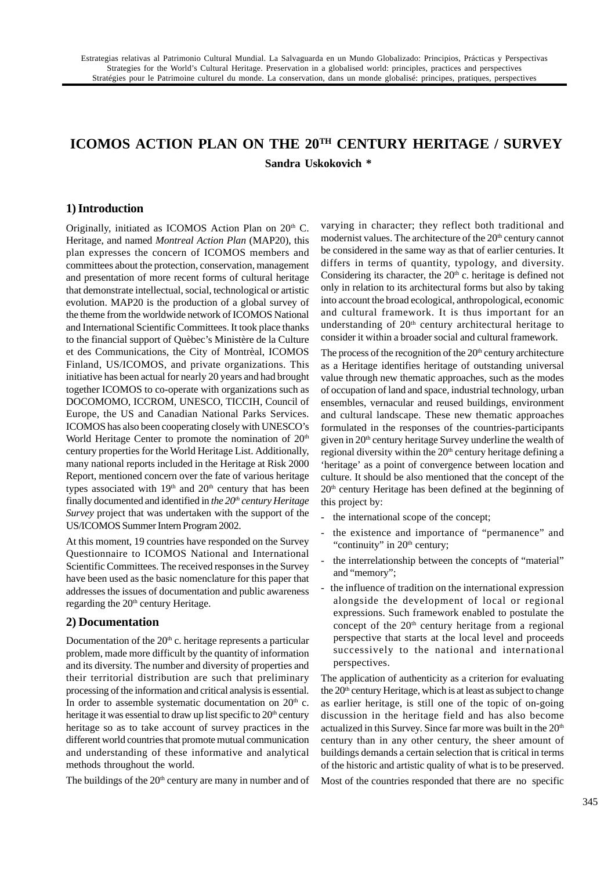# **ICOMOS ACTION PLAN ON THE 20TH CENTURY HERITAGE / SURVEY Sandra Uskokovich \***

# **1) Introduction**

Originally, initiated as ICOMOS Action Plan on  $20<sup>th</sup>$  C. Heritage, and named *Montreal Action Plan* (MAP20), this plan expresses the concern of ICOMOS members and committees about the protection, conservation, management and presentation of more recent forms of cultural heritage that demonstrate intellectual, social, technological or artistic evolution. MAP20 is the production of a global survey of the theme from the worldwide network of ICOMOS National and International Scientific Committees. It took place thanks to the financial support of Quèbec's Ministère de la Culture et des Communications, the City of Montrèal, ICOMOS Finland, US/ICOMOS, and private organizations. This initiative has been actual for nearly 20 years and had brought together ICOMOS to co-operate with organizations such as DOCOMOMO, ICCROM, UNESCO, TICCIH, Council of Europe, the US and Canadian National Parks Services. ICOMOS has also been cooperating closely with UNESCO's World Heritage Center to promote the nomination of 20<sup>th</sup> century properties for the World Heritage List. Additionally, many national reports included in the Heritage at Risk 2000 Report, mentioned concern over the fate of various heritage types associated with 19<sup>th</sup> and 20<sup>th</sup> century that has been finally documented and identified in *the 20th century Heritage Survey* project that was undertaken with the support of the US/ICOMOS Summer Intern Program 2002.

At this moment, 19 countries have responded on the Survey Questionnaire to ICOMOS National and International Scientific Committees. The received responses in the Survey have been used as the basic nomenclature for this paper that addresses the issues of documentation and public awareness regarding the 20<sup>th</sup> century Heritage.

## **2) Documentation**

Documentation of the  $20<sup>th</sup>$  c. heritage represents a particular problem, made more difficult by the quantity of information and its diversity. The number and diversity of properties and their territorial distribution are such that preliminary processing of the information and critical analysis is essential. In order to assemble systematic documentation on  $20<sup>th</sup>$  c. heritage it was essential to draw up list specific to 20<sup>th</sup> century heritage so as to take account of survey practices in the different world countries that promote mutual communication and understanding of these informative and analytical methods throughout the world.

The buildings of the  $20<sup>th</sup>$  century are many in number and of

varying in character; they reflect both traditional and modernist values. The architecture of the  $20<sup>th</sup>$  century cannot be considered in the same way as that of earlier centuries. It differs in terms of quantity, typology, and diversity. Considering its character, the  $20<sup>th</sup>$  c. heritage is defined not only in relation to its architectural forms but also by taking into account the broad ecological, anthropological, economic and cultural framework. It is thus important for an understanding of 20<sup>th</sup> century architectural heritage to consider it within a broader social and cultural framework.

The process of the recognition of the  $20<sup>th</sup>$  century architecture as a Heritage identifies heritage of outstanding universal value through new thematic approaches, such as the modes of occupation of land and space, industrial technology, urban ensembles, vernacular and reused buildings, environment and cultural landscape. These new thematic approaches formulated in the responses of the countries-participants given in 20<sup>th</sup> century heritage Survey underline the wealth of regional diversity within the  $20<sup>th</sup>$  century heritage defining a 'heritage' as a point of convergence between location and culture. It should be also mentioned that the concept of the 20th century Heritage has been defined at the beginning of this project by:

- the international scope of the concept;
- the existence and importance of "permanence" and "continuity" in  $20<sup>th</sup>$  century;
- the interrelationship between the concepts of "material" and "memory";
- the influence of tradition on the international expression alongside the development of local or regional expressions. Such framework enabled to postulate the concept of the  $20<sup>th</sup>$  century heritage from a regional perspective that starts at the local level and proceeds successively to the national and international perspectives.

The application of authenticity as a criterion for evaluating the  $20<sup>th</sup>$  century Heritage, which is at least as subject to change as earlier heritage, is still one of the topic of on-going discussion in the heritage field and has also become actualized in this Survey. Since far more was built in the 20<sup>th</sup> century than in any other century, the sheer amount of buildings demands a certain selection that is critical in terms of the historic and artistic quality of what is to be preserved.

Most of the countries responded that there are no specific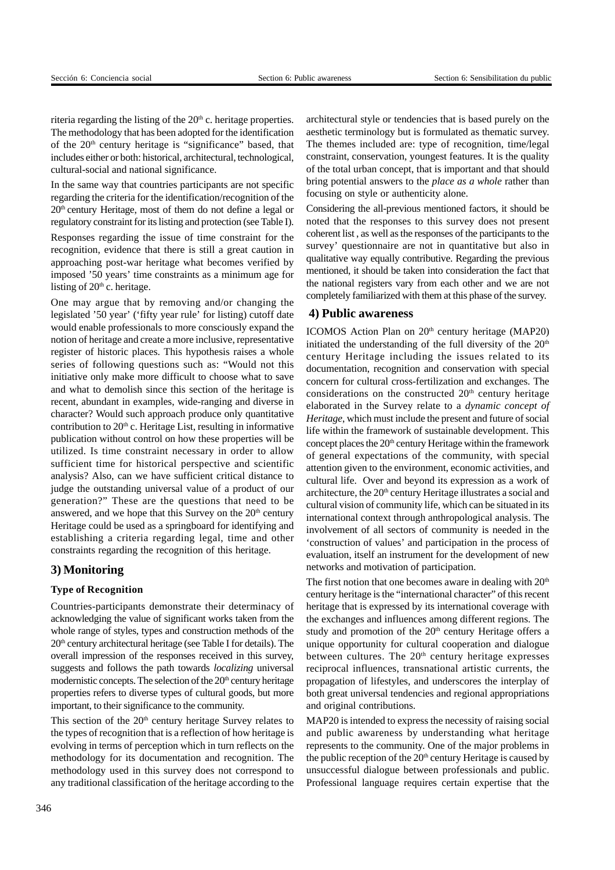riteria regarding the listing of the  $20<sup>th</sup>$  c. heritage properties. The methodology that has been adopted for the identification of the  $20<sup>th</sup>$  century heritage is "significance" based, that includes either or both: historical, architectural, technological, cultural-social and national significance.

In the same way that countries participants are not specific regarding the criteria for the identification/recognition of the 20th century Heritage, most of them do not define a legal or regulatory constraint for its listing and protection (see Table I).

Responses regarding the issue of time constraint for the recognition, evidence that there is still a great caution in approaching post-war heritage what becomes verified by imposed '50 years' time constraints as a minimum age for listing of  $20<sup>th</sup>$  c. heritage.

One may argue that by removing and/or changing the legislated '50 year' ('fifty year rule' for listing) cutoff date would enable professionals to more consciously expand the notion of heritage and create a more inclusive, representative register of historic places. This hypothesis raises a whole series of following questions such as: "Would not this initiative only make more difficult to choose what to save and what to demolish since this section of the heritage is recent, abundant in examples, wide-ranging and diverse in character? Would such approach produce only quantitative contribution to  $20<sup>th</sup>$  c. Heritage List, resulting in informative publication without control on how these properties will be utilized. Is time constraint necessary in order to allow sufficient time for historical perspective and scientific analysis? Also, can we have sufficient critical distance to judge the outstanding universal value of a product of our generation?" These are the questions that need to be answered, and we hope that this Survey on the  $20<sup>th</sup>$  century Heritage could be used as a springboard for identifying and establishing a criteria regarding legal, time and other constraints regarding the recognition of this heritage.

## **3) Monitoring**

#### **Type of Recognition**

Countries-participants demonstrate their determinacy of acknowledging the value of significant works taken from the whole range of styles, types and construction methods of the  $20<sup>th</sup>$  century architectural heritage (see Table I for details). The overall impression of the responses received in this survey, suggests and follows the path towards *localizing* universal modernistic concepts. The selection of the  $20<sup>th</sup>$  century heritage properties refers to diverse types of cultural goods, but more important, to their significance to the community.

This section of the  $20<sup>th</sup>$  century heritage Survey relates to the types of recognition that is a reflection of how heritage is evolving in terms of perception which in turn reflects on the methodology for its documentation and recognition. The methodology used in this survey does not correspond to any traditional classification of the heritage according to the architectural style or tendencies that is based purely on the aesthetic terminology but is formulated as thematic survey. The themes included are: type of recognition, time/legal constraint, conservation, youngest features. It is the quality of the total urban concept, that is important and that should bring potential answers to the *place as a whole* rather than focusing on style or authenticity alone.

Considering the all-previous mentioned factors, it should be noted that the responses to this survey does not present coherent list , as well as the responses of the participants to the survey' questionnaire are not in quantitative but also in qualitative way equally contributive. Regarding the previous mentioned, it should be taken into consideration the fact that the national registers vary from each other and we are not completely familiarized with them at this phase of the survey.

## **4) Public awareness**

ICOMOS Action Plan on  $20<sup>th</sup>$  century heritage (MAP20) initiated the understanding of the full diversity of the  $20<sup>th</sup>$ century Heritage including the issues related to its documentation, recognition and conservation with special concern for cultural cross-fertilization and exchanges. The considerations on the constructed  $20<sup>th</sup>$  century heritage elaborated in the Survey relate to a *dynamic concept of Heritage*, which must include the present and future of social life within the framework of sustainable development. This concept places the  $20<sup>th</sup>$  century Heritage within the framework of general expectations of the community, with special attention given to the environment, economic activities, and cultural life. Over and beyond its expression as a work of architecture, the 20<sup>th</sup> century Heritage illustrates a social and cultural vision of community life, which can be situated in its international context through anthropological analysis. The involvement of all sectors of community is needed in the 'construction of values' and participation in the process of evaluation, itself an instrument for the development of new networks and motivation of participation.

The first notion that one becomes aware in dealing with 20<sup>th</sup> century heritage is the "international character" of this recent heritage that is expressed by its international coverage with the exchanges and influences among different regions. The study and promotion of the  $20<sup>th</sup>$  century Heritage offers a unique opportunity for cultural cooperation and dialogue between cultures. The  $20<sup>th</sup>$  century heritage expresses reciprocal influences, transnational artistic currents, the propagation of lifestyles, and underscores the interplay of both great universal tendencies and regional appropriations and original contributions.

MAP20 is intended to express the necessity of raising social and public awareness by understanding what heritage represents to the community. One of the major problems in the public reception of the  $20<sup>th</sup>$  century Heritage is caused by unsuccessful dialogue between professionals and public. Professional language requires certain expertise that the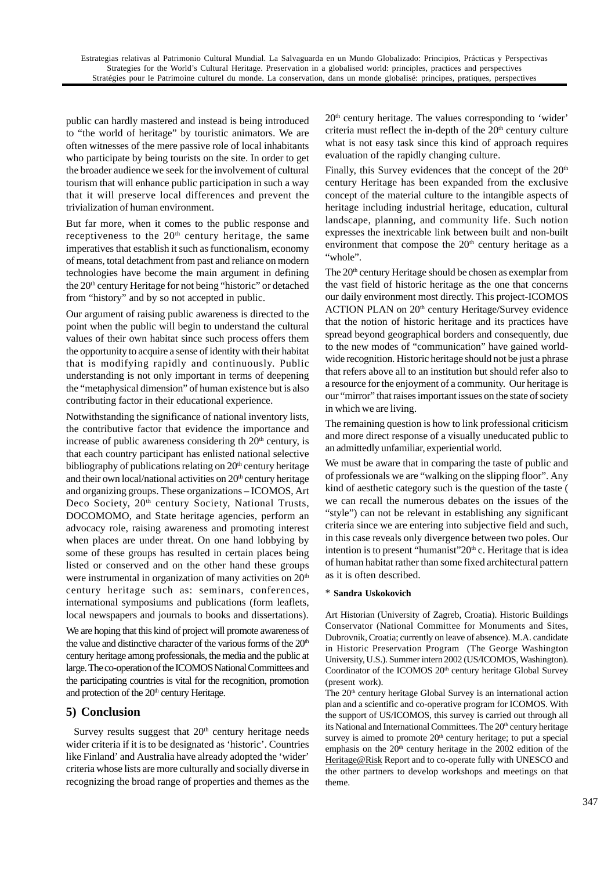public can hardly mastered and instead is being introduced to "the world of heritage" by touristic animators. We are often witnesses of the mere passive role of local inhabitants who participate by being tourists on the site. In order to get the broader audience we seek for the involvement of cultural tourism that will enhance public participation in such a way that it will preserve local differences and prevent the trivialization of human environment.

But far more, when it comes to the public response and receptiveness to the  $20<sup>th</sup>$  century heritage, the same imperatives that establish it such as functionalism, economy of means, total detachment from past and reliance on modern technologies have become the main argument in defining the 20<sup>th</sup> century Heritage for not being "historic" or detached from "history" and by so not accepted in public.

Our argument of raising public awareness is directed to the point when the public will begin to understand the cultural values of their own habitat since such process offers them the opportunity to acquire a sense of identity with their habitat that is modifying rapidly and continuously. Public understanding is not only important in terms of deepening the "metaphysical dimension" of human existence but is also contributing factor in their educational experience.

Notwithstanding the significance of national inventory lists, the contributive factor that evidence the importance and increase of public awareness considering th  $20<sup>th</sup>$  century, is that each country participant has enlisted national selective bibliography of publications relating on  $20<sup>th</sup>$  century heritage and their own local/national activities on  $20<sup>th</sup>$  century heritage and organizing groups. These organizations – ICOMOS, Art Deco Society, 20<sup>th</sup> century Society, National Trusts, DOCOMOMO, and State heritage agencies, perform an advocacy role, raising awareness and promoting interest when places are under threat. On one hand lobbying by some of these groups has resulted in certain places being listed or conserved and on the other hand these groups were instrumental in organization of many activities on 20<sup>th</sup> century heritage such as: seminars, conferences, international symposiums and publications (form leaflets, local newspapers and journals to books and dissertations).

We are hoping that this kind of project will promote awareness of the value and distinctive character of the various forms of the 20<sup>th</sup> century heritage among professionals, the media and the public at large. The co-operation of the ICOMOS National Committees and the participating countries is vital for the recognition, promotion and protection of the 20<sup>th</sup> century Heritage.

# **5) Conclusion**

Survey results suggest that  $20<sup>th</sup>$  century heritage needs wider criteria if it is to be designated as 'historic'. Countries like Finland' and Australia have already adopted the 'wider' criteria whose lists are more culturally and socially diverse in recognizing the broad range of properties and themes as the  $20<sup>th</sup>$  century heritage. The values corresponding to 'wider' criteria must reflect the in-depth of the  $20<sup>th</sup>$  century culture what is not easy task since this kind of approach requires evaluation of the rapidly changing culture.

Finally, this Survey evidences that the concept of the  $20<sup>th</sup>$ century Heritage has been expanded from the exclusive concept of the material culture to the intangible aspects of heritage including industrial heritage, education, cultural landscape, planning, and community life. Such notion expresses the inextricable link between built and non-built environment that compose the  $20<sup>th</sup>$  century heritage as a "whole".

The 20<sup>th</sup> century Heritage should be chosen as exemplar from the vast field of historic heritage as the one that concerns our daily environment most directly. This project-ICOMOS ACTION PLAN on 20<sup>th</sup> century Heritage/Survey evidence that the notion of historic heritage and its practices have spread beyond geographical borders and consequently, due to the new modes of "communication" have gained worldwide recognition. Historic heritage should not be just a phrase that refers above all to an institution but should refer also to a resource for the enjoyment of a community. Our heritage is our "mirror" that raises important issues on the state of society in which we are living.

The remaining question is how to link professional criticism and more direct response of a visually uneducated public to an admittedly unfamiliar, experiential world.

We must be aware that in comparing the taste of public and of professionals we are "walking on the slipping floor". Any kind of aesthetic category such is the question of the taste ( we can recall the numerous debates on the issues of the "style") can not be relevant in establishing any significant criteria since we are entering into subjective field and such, in this case reveals only divergence between two poles. Our intention is to present "humanist"  $20<sup>th</sup>$  c. Heritage that is idea of human habitat rather than some fixed architectural pattern as it is often described.

## \* **Sandra Uskokovich**

Art Historian (University of Zagreb, Croatia). Historic Buildings Conservator (National Committee for Monuments and Sites, Dubrovnik, Croatia; currently on leave of absence). M.A. candidate in Historic Preservation Program (The George Washington University, U.S.). Summer intern 2002 (US/ICOMOS, Washington). Coordinator of the ICOMOS 20<sup>th</sup> century heritage Global Survey (present work).

The 20<sup>th</sup> century heritage Global Survey is an international action plan and a scientific and co-operative program for ICOMOS. With the support of US/ICOMOS, this survey is carried out through all its National and International Committees. The 20<sup>th</sup> century heritage survey is aimed to promote  $20<sup>th</sup>$  century heritage; to put a special emphasis on the 20<sup>th</sup> century heritage in the 2002 edition of the Heritage@Risk Report and to co-operate fully with UNESCO and the other partners to develop workshops and meetings on that theme.